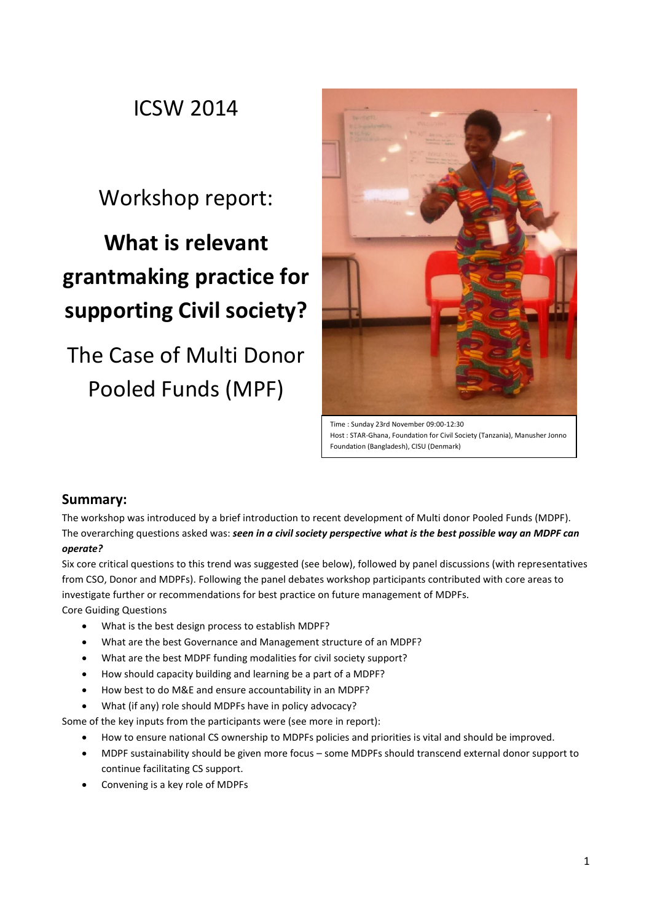# ICSW 2014

# Workshop report:

# **What is relevant grantmaking practice for supporting Civil society?**

# The Case of Multi Donor Pooled Funds (MPF)



Time : Sunday 23rd November 09:00-12:30 Host : STAR-Ghana, Foundation for Civil Society (Tanzania), Manusher Jonno Foundation (Bangladesh), CISU (Denmark)

### **Summary:**

The workshop was introduced by a brief introduction to recent development of Multi donor Pooled Funds (MDPF). The overarching questions asked was: *seen in a civil society perspective what is the best possible way an MDPF can operate?*

Six core critical questions to this trend was suggested (see below), followed by panel discussions (with representatives from CSO, Donor and MDPFs). Following the panel debates workshop participants contributed with core areas to investigate further or recommendations for best practice on future management of MDPFs. Core Guiding Questions

- What is the best design process to establish MDPF?
- What are the best Governance and Management structure of an MDPF?
- What are the best MDPF funding modalities for civil society support?
- How should capacity building and learning be a part of a MDPF?
- How best to do M&E and ensure accountability in an MDPF?
- What (if any) role should MDPFs have in policy advocacy?

Some of the key inputs from the participants were (see more in report):

- How to ensure national CS ownership to MDPFs policies and priorities is vital and should be improved.
- MDPF sustainability should be given more focus some MDPFs should transcend external donor support to continue facilitating CS support.
- Convening is a key role of MDPFs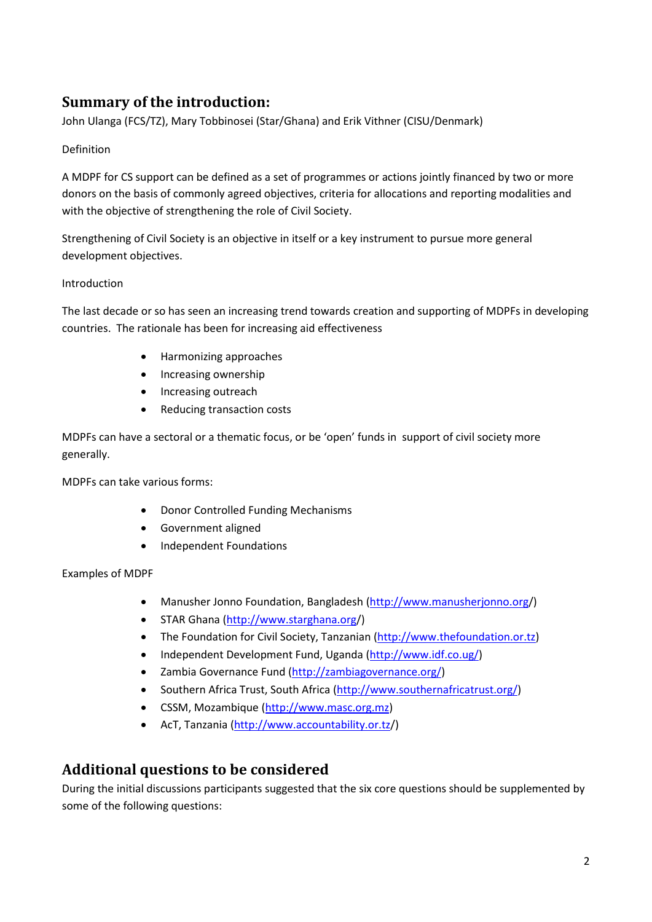# **Summary of the introduction:**

John Ulanga (FCS/TZ), Mary Tobbinosei (Star/Ghana) and Erik Vithner (CISU/Denmark)

#### Definition

A MDPF for CS support can be defined as a set of programmes or actions jointly financed by two or more donors on the basis of commonly agreed objectives, criteria for allocations and reporting modalities and with the objective of strengthening the role of Civil Society.

Strengthening of Civil Society is an objective in itself or a key instrument to pursue more general development objectives.

#### Introduction

The last decade or so has seen an increasing trend towards creation and supporting of MDPFs in developing countries. The rationale has been for increasing aid effectiveness

- Harmonizing approaches
- Increasing ownership
- Increasing outreach
- Reducing transaction costs

MDPFs can have a sectoral or a thematic focus, or be 'open' funds in support of civil society more generally.

MDPFs can take various forms:

- Donor Controlled Funding Mechanisms
- Government aligned
- Independent Foundations

Examples of MDPF

- Manusher Jonno Foundation, Bangladesh [\(http://www.manusherjonno.org/](http://www.manusherjonno.org/index.php))
- STAR Ghana [\(http://www.starghana.org/](http://www.starghana.org/))
- The Foundation for Civil Society, Tanzanian [\(http://www.thefoundation.or.tz\)](http://www.thefoundation.or.tz/)
- Independent Development Fund, Uganda [\(http://www.idf.co.ug/\)](http://www.idf.co.ug/)
- Zambia Governance Fund [\(http://zambiagovernance.org/\)](http://zambiagovernance.org/)
- Southern Africa Trust, South Africa [\(http://www.southernafricatrust.org/\)](http://www.southernafricatrust.org/)
- CSSM, Mozambique [\(http://www.masc.org.mz\)](http://www.masc.org.mz/)
- AcT, Tanzania [\(http://www.accountability.or.tz/](http://www.accountability.or.tz/))

## **Additional questions to be considered**

During the initial discussions participants suggested that the six core questions should be supplemented by some of the following questions: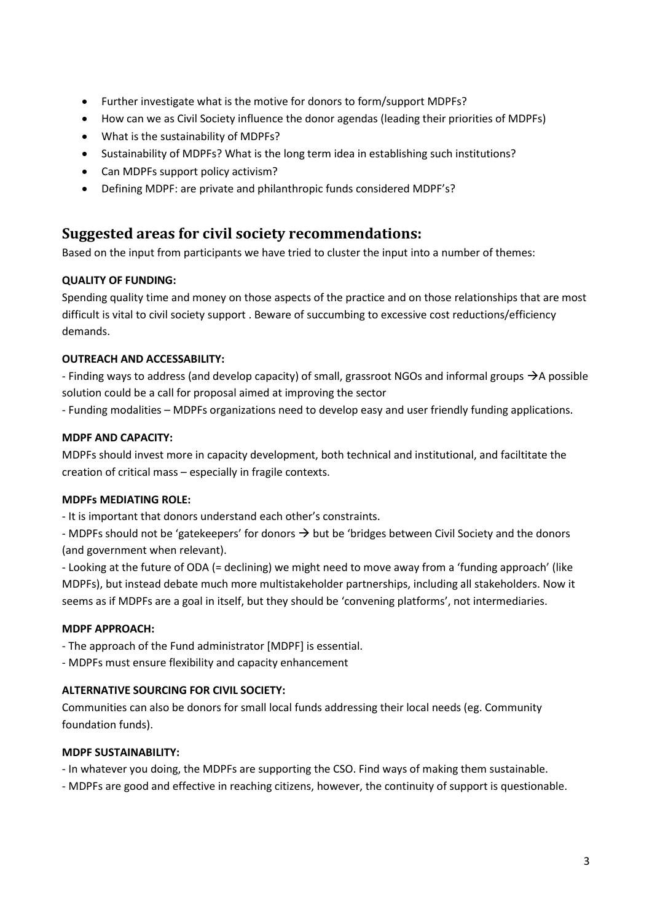- Further investigate what is the motive for donors to form/support MDPFs?
- How can we as Civil Society influence the donor agendas (leading their priorities of MDPFs)
- What is the sustainability of MDPFs?
- Sustainability of MDPFs? What is the long term idea in establishing such institutions?
- Can MDPFs support policy activism?
- Defining MDPF: are private and philanthropic funds considered MDPF's?

## **Suggested areas for civil society recommendations:**

Based on the input from participants we have tried to cluster the input into a number of themes:

#### **QUALITY OF FUNDING:**

Spending quality time and money on those aspects of the practice and on those relationships that are most difficult is vital to civil society support . Beware of succumbing to excessive cost reductions/efficiency demands.

#### **OUTREACH AND ACCESSABILITY:**

- Finding ways to address (and develop capacity) of small, grassroot NGOs and informal groups  $\rightarrow$  A possible solution could be a call for proposal aimed at improving the sector

- Funding modalities – MDPFs organizations need to develop easy and user friendly funding applications.

#### **MDPF AND CAPACITY:**

MDPFs should invest more in capacity development, both technical and institutional, and faciltitate the creation of critical mass – especially in fragile contexts.

#### **MDPFs MEDIATING ROLE:**

- It is important that donors understand each other's constraints.

- MDPFs should not be 'gatekeepers' for donors  $\rightarrow$  but be 'bridges between Civil Society and the donors (and government when relevant).

- Looking at the future of ODA (= declining) we might need to move away from a 'funding approach' (like MDPFs), but instead debate much more multistakeholder partnerships, including all stakeholders. Now it seems as if MDPFs are a goal in itself, but they should be 'convening platforms', not intermediaries.

#### **MDPF APPROACH:**

- The approach of the Fund administrator [MDPF] is essential.

- MDPFs must ensure flexibility and capacity enhancement

#### **ALTERNATIVE SOURCING FOR CIVIL SOCIETY:**

Communities can also be donors for small local funds addressing their local needs (eg. Community foundation funds).

#### **MDPF SUSTAINABILITY:**

- In whatever you doing, the MDPFs are supporting the CSO. Find ways of making them sustainable.

- MDPFs are good and effective in reaching citizens, however, the continuity of support is questionable.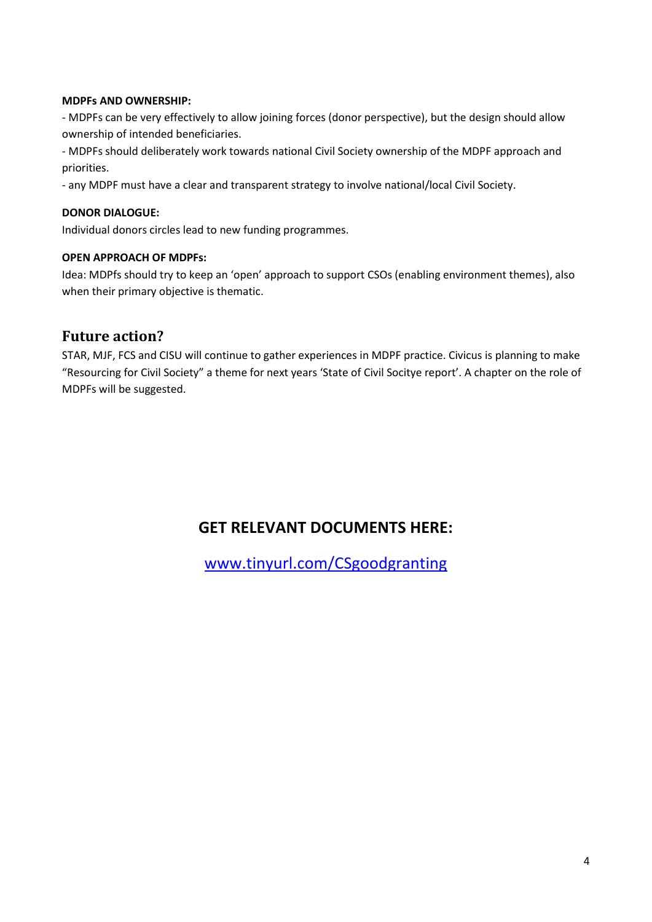#### **MDPFs AND OWNERSHIP:**

- MDPFs can be very effectively to allow joining forces (donor perspective), but the design should allow ownership of intended beneficiaries.

- MDPFs should deliberately work towards national Civil Society ownership of the MDPF approach and priorities.

- any MDPF must have a clear and transparent strategy to involve national/local Civil Society.

#### **DONOR DIALOGUE:**

Individual donors circles lead to new funding programmes.

#### **OPEN APPROACH OF MDPFs:**

Idea: MDPfs should try to keep an 'open' approach to support CSOs (enabling environment themes), also when their primary objective is thematic.

### **Future action?**

STAR, MJF, FCS and CISU will continue to gather experiences in MDPF practice. Civicus is planning to make "Resourcing for Civil Society" a theme for next years 'State of Civil Socitye report'. A chapter on the role of MDPFs will be suggested.

# **GET RELEVANT DOCUMENTS HERE:**

[www.tinyurl.com/CSgoodgranting](http://www.tinyurl.com/CSgoodgranting)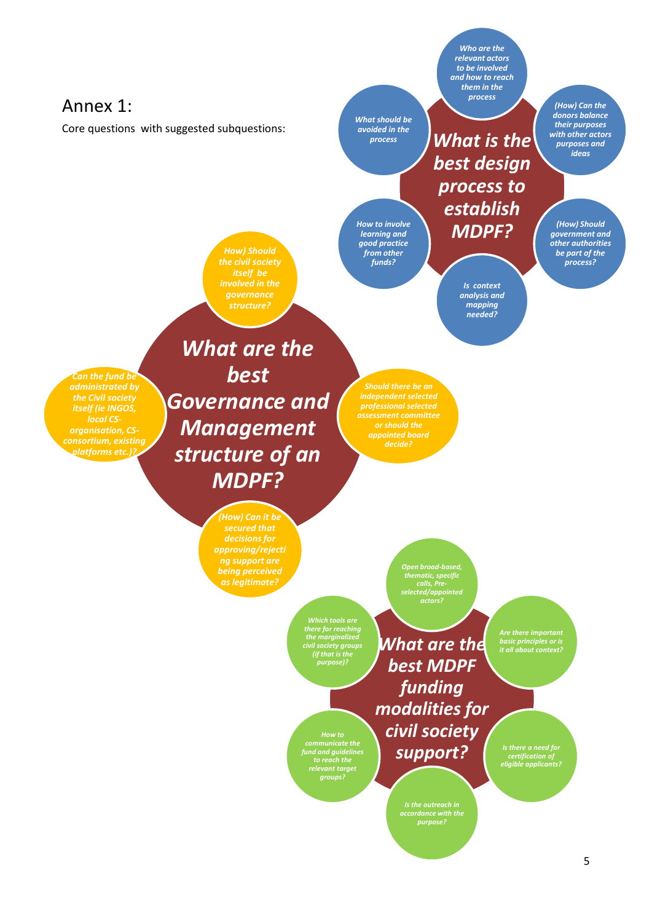